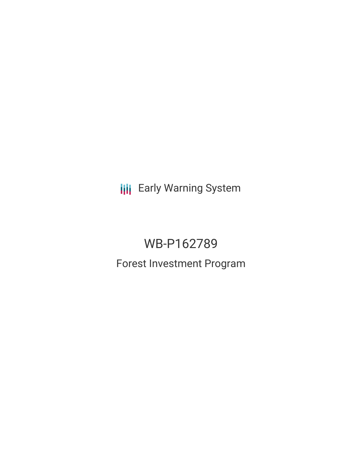**III** Early Warning System

# WB-P162789

Forest Investment Program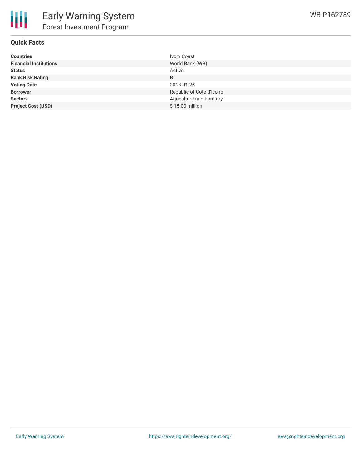

## **Quick Facts**

| <b>Countries</b>              | <b>Ivory Coast</b>        |
|-------------------------------|---------------------------|
| <b>Financial Institutions</b> | World Bank (WB)           |
| <b>Status</b>                 | Active                    |
| <b>Bank Risk Rating</b>       | B                         |
| <b>Voting Date</b>            | 2018-01-26                |
| <b>Borrower</b>               | Republic of Cote d'Ivoire |
| <b>Sectors</b>                | Agriculture and Forestry  |
| <b>Project Cost (USD)</b>     | \$15.00 million           |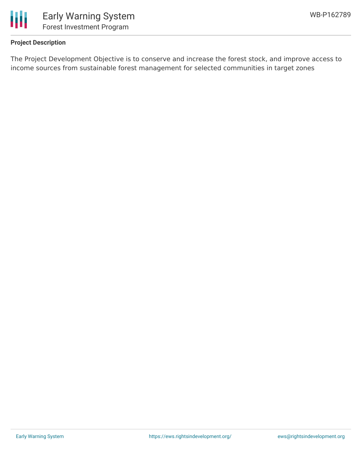

# **Project Description**

The Project Development Objective is to conserve and increase the forest stock, and improve access to income sources from sustainable forest management for selected communities in target zones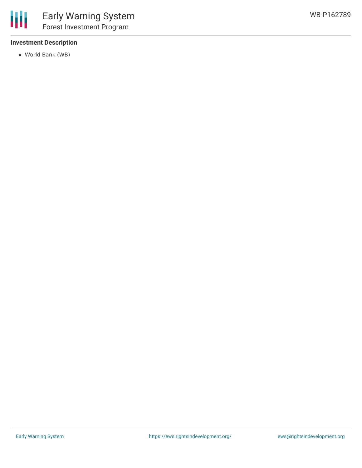# **Investment Description**

World Bank (WB)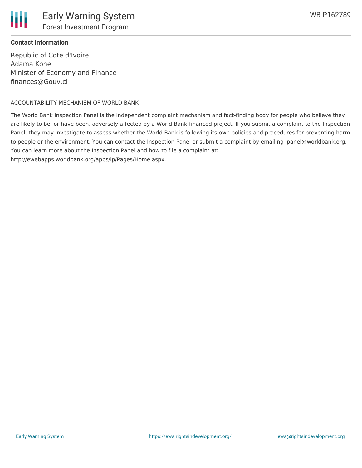

## **Contact Information**

Republic of Cote d'Ivoire Adama Kone Minister of Economy and Finance finances@Gouv.ci

### ACCOUNTABILITY MECHANISM OF WORLD BANK

The World Bank Inspection Panel is the independent complaint mechanism and fact-finding body for people who believe they are likely to be, or have been, adversely affected by a World Bank-financed project. If you submit a complaint to the Inspection Panel, they may investigate to assess whether the World Bank is following its own policies and procedures for preventing harm to people or the environment. You can contact the Inspection Panel or submit a complaint by emailing ipanel@worldbank.org. You can learn more about the Inspection Panel and how to file a complaint at: http://ewebapps.worldbank.org/apps/ip/Pages/Home.aspx.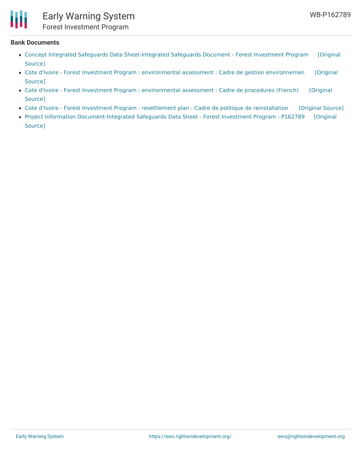

#### **Bank Documents**

- Concept Integrated Safeguards Data [Sheet-Integrated](https://ewsdata.rightsindevelopment.org/files/documents/89/WB-P162789_jLgaxXs.pdf) Safeguards Document Forest Investment Program [Original Source]
- Cote d'Ivoire Forest Investment Program : [environmental](https://ewsdata.rightsindevelopment.org/files/documents/89/WB-P162789_go0srAV.pdf) assessment : Cadre de gestion environnemen [Original Source]
- Cote d'Ivoire Forest Investment Program : [environmental](https://ewsdata.rightsindevelopment.org/files/documents/89/WB-P162789_QiUP55V.pdf) assessment : Cadre de procedures (French) [Original Source]
- Cote d'Ivoire Forest Investment Program : resettlement plan : Cadre de politique de [reinstallation](https://ewsdata.rightsindevelopment.org/files/documents/89/WB-P162789_yXyRFwn.pdf) [\[Original](http://documents.worldbank.org/curated/en/247981511199580520/pdf/SFG3805-RP-FRENCH-P162789-Box405310B-PUBLIC-Disclosed-11-20-2017.pdf) Source]
- Project Information [Document-Integrated](http://documents.worldbank.org/curated/en/347711511852626874/pdf/Project-Information-Document-Integrated-Safeguards-Data-Sheet-Forest-Investment-Program-P162789-Sequence-No-00.pdf) Safeguards Data Sheet Forest Investment Program P162789 [Original Source]